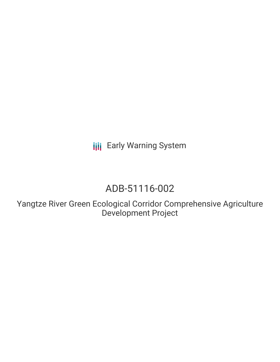**III** Early Warning System

# ADB-51116-002

Yangtze River Green Ecological Corridor Comprehensive Agriculture Development Project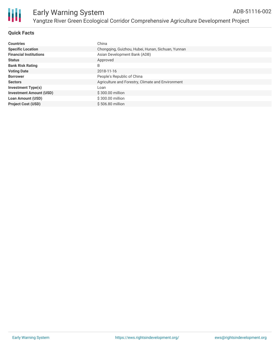

#### **Quick Facts**

| <b>Countries</b>               | China                                             |
|--------------------------------|---------------------------------------------------|
| <b>Specific Location</b>       | Chongqing, Guizhou, Hubei, Hunan, Sichuan, Yunnan |
| <b>Financial Institutions</b>  | Asian Development Bank (ADB)                      |
| <b>Status</b>                  | Approved                                          |
| <b>Bank Risk Rating</b>        | B                                                 |
| <b>Voting Date</b>             | 2018-11-16                                        |
| <b>Borrower</b>                | People's Republic of China                        |
| <b>Sectors</b>                 | Agriculture and Forestry, Climate and Environment |
| Investment Type(s)             | Loan                                              |
| <b>Investment Amount (USD)</b> | \$300.00 million                                  |
| <b>Loan Amount (USD)</b>       | \$300.00 million                                  |
| <b>Project Cost (USD)</b>      | $$506.80$ million                                 |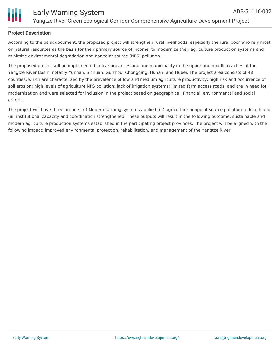

#### **Project Description**

According to the bank document, the proposed project will strengthen rural livelihoods, especially the rural poor who rely most on natural resources as the basis for their primary source of income, to modernize their agriculture production systems and minimize environmental degradation and nonpoint source (NPS) pollution.

The proposed project will be implemented in five provinces and one municipality in the upper and middle reaches of the Yangtze River Basin, notably Yunnan, Sichuan, Guizhou, Chongqing, Hunan, and Hubei. The project area consists of 48 counties, which are characterized by the prevalence of low and medium agriculture productivity; high risk and occurrence of soil erosion; high levels of agriculture NPS pollution; lack of irrigation systems; limited farm access roads; and are in need for modernization and were selected for inclusion in the project based on geographical, financial, environmental and social criteria.

The project will have three outputs: (i) Modern farming systems applied; (ii) agriculture nonpoint source pollution reduced; and (iii) institutional capacity and coordination strengthened. These outputs will result in the following outcome: sustainable and modern agriculture production systems established in the participating project provinces. The project will be aligned with the following impact: improved environmental protection, rehabilitation, and management of the Yangtze River.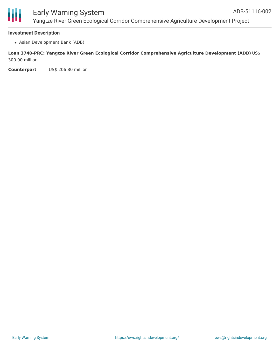#### **Investment Description**

Asian Development Bank (ADB)

#### **Loan 3740-PRC: Yangtze River Green Ecological Corridor Comprehensive Agriculture Development (ADB)** US\$ 300.00 million

**Counterpart** US\$ 206.80 million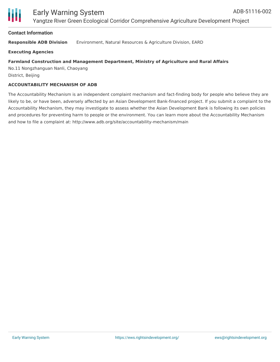

#### **Contact Information**

**Responsible ADB Division** Environment, Natural Resources & Agriculture Division, EARD

**Executing Agencies**

#### **Farmland Construction and Management Department, Ministry of Agriculture and Rural Affairs**

No.11 Nongzhanguan Nanli, Chaoyang District, Beijing

#### **ACCOUNTABILITY MECHANISM OF ADB**

The Accountability Mechanism is an independent complaint mechanism and fact-finding body for people who believe they are likely to be, or have been, adversely affected by an Asian Development Bank-financed project. If you submit a complaint to the Accountability Mechanism, they may investigate to assess whether the Asian Development Bank is following its own policies and procedures for preventing harm to people or the environment. You can learn more about the Accountability Mechanism and how to file a complaint at: http://www.adb.org/site/accountability-mechanism/main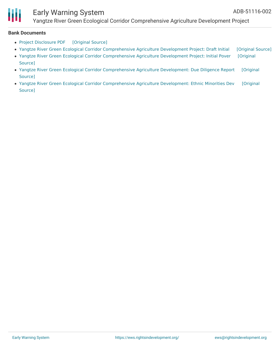

### Early Warning System

Yangtze River Green Ecological Corridor Comprehensive Agriculture Development Project

#### **Bank Documents**

- Project [Disclosure](https://ewsdata.rightsindevelopment.org/files/documents/02/ADB-51116-002.pdf) PDF [\[Original](https://www.adb.org/printpdf/projects/51116-002/main) Source]
- Yangtze River Green Ecological Corridor [Comprehensive](https://ewsdata.rightsindevelopment.org/files/documents/02/ADB-51116-002_GQPlkse.pdf) Agriculture Development Project: Draft Initial [\[Original](https://www.adb.org/projects/documents/prc-51116-002-iee) Source]
- Yangtze River Green Ecological Corridor [Comprehensive](https://ewsdata.rightsindevelopment.org/files/documents/02/ADB-51116-002_Czv5edg.pdf) Agriculture Development Project: Initial Pover [Original Source]
- Yangtze River Green Ecological Corridor [Comprehensive](https://ewsdata.rightsindevelopment.org/files/documents/02/ADB-51116-002_hRmeeZZ.pdf) Agriculture Development: Due Diligence Report [Original Source]
- Yangtze River Green Ecological Corridor [Comprehensive](https://ewsdata.rightsindevelopment.org/files/documents/02/ADB-51116-002_5Z7gCCs.pdf) Agriculture Development: Ethnic Minorities Dev [Original Source]